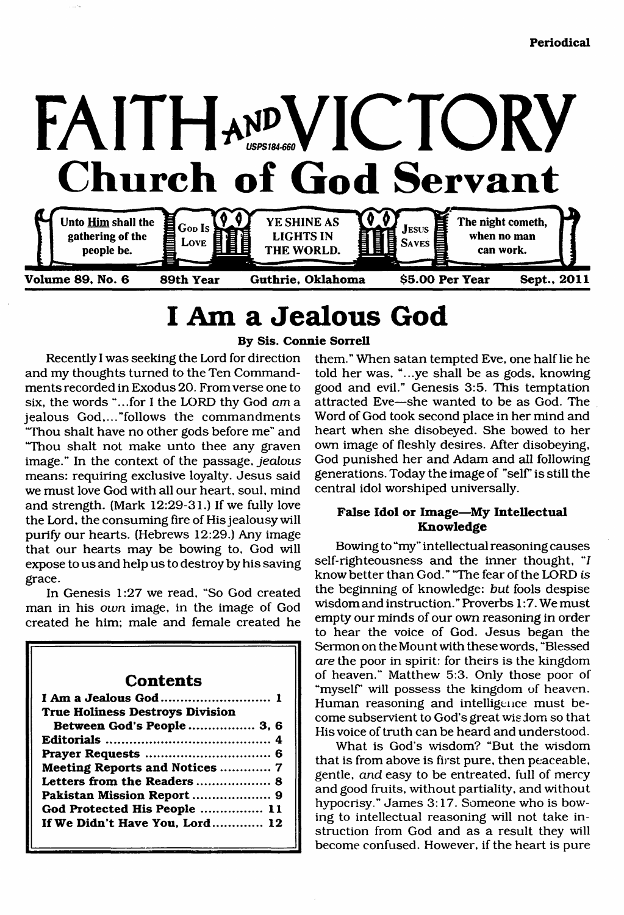

**Volume 89, No. 6 89th Year Guthrie, Oklahoma \$5.00 Per Year Sept., 2011**

# <span id="page-0-0"></span>**1 Am a Jealous God**

**By Sis. Connie Sorrell**

Recently I was seeking the Lord for direction and my thoughts turned to the Ten Commandments recorded in Exodus 20. From verse one to six, the words "...for I the LORD thy God *am* a jealous God,..."follows the commandments "Thou shalt have no other gods before me" and "Thou shalt not make unto thee any graven image." In the context of the passage, *jealous* means: requiring exclusive loyalty. Jesus said we must love God with all our heart, soul, mind and strength. (Mark 12:29-31.) If we fully love the Lord, the consuming fire of His jealousy will purify our hearts. (Hebrews 12:29.) Any image that our hearts may be bowing to, God will expose to us and help us to destroy by his saving grace.

In Genesis 1:27 we read, "So God created man in his *own* image, in the image of God created he him; male and female created he

# **Contents**

| <b>True Holiness Destroys Division</b> |
|----------------------------------------|
| Between God's People  3, 6             |
|                                        |
|                                        |
| Meeting Reports and Notices  7         |
| Letters from the Readers  8            |
| Pakistan Mission Report  9             |
| God Protected His People  11           |
| If We Didn't Have You, Lord 12         |
|                                        |

them." When satan tempted Eve, one half lie he told her was, "...ye shall be as gods, knowing good and evil." Genesis 3:5. This temptation attracted Eve—she wanted to be as God. The Word of God took second place in her mind and heart when she disobeyed. She bowed to her own image of fleshly desires. After disobeying, God punished her and Adam and all following generations. Today the image of "selF is still the central idol worshiped universally.

# **False Idol or Image—My Intellectual Knowledge**

Bowing to "my" intellectual reasoning causes self-righteousness and the inner thought, "J know better than God." "The fear of the LORD *is* the beginning of knowledge: *but* fools despise wisdom and instruction." Proverbs 1:7. We must empty our minds of our own reasoning in order to hear the voice of God. Jesus began the Sermon on the Mount with these words, "Blessed *are* the poor in spirit: for theirs is the kingdom of heaven." Matthew 5:3. Only those poor of "myself' will possess the kingdom of heaven. Human reasoning and intelligence must become subservient to God's great wis iom so that His voice of truth can be heard and understood.

What is God's wisdom? "But the wisdom that is from above is first pure, then peaceable, gentle, *and* easy to be entreated, full of mercy and good fruits, without partiality, and without hypocrisy." James 3:17. Someone who is bowing to intellectual reasoning will not take instruction from God and as a result they will become confused. However, if the heart is pure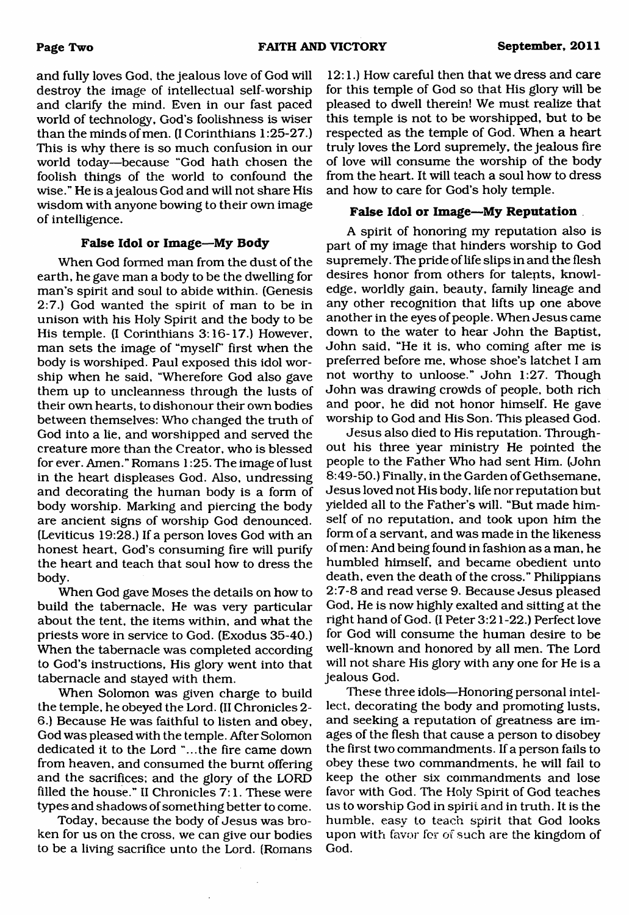and fully loves God, the jealous love of God will destroy the image of intellectual self-worship and clarify the mind. Even in our fast paced world of technology, God's foolishness is wiser than the minds of men. (I Corinthians 1:25-27.) This is why there is so much confusion in our world today—because "God hath chosen the foolish things of the world to confound the wise." He is a jealous God and will not share His wisdom with anyone bowing to their own image of intelligence.

### **False Idol or Image—My Body**

When God formed man from the dust of the earth, he gave man a body to be the dwelling for man's spirit and soul to abide within. (Genesis 2:7.) God wanted the spirit of man to be in unison with his Holy Spirit and the body to be His temple. (I Corinthians 3:16-17.) However, man sets the image of "myself' first when the body is worshiped. Paul exposed this idol worship when he said, "Wherefore God also gave them up to uncleanness through the lusts of their own hearts, to dishonour their own bodies between themselves: Who changed the truth of God into a lie, and worshipped and served the creature more than the Creator, who is blessed for ever. Amen." Romans 1:25. The image of lust in the heart displeases God. Also, undressing and decorating the human body is a form of body worship. Marking and piercing the body are ancient signs of worship God denounced. (Leviticus 19:28.) If a person loves God with an honest heart, God's consuming fire will purify the heart and teach that soul how to dress the body.

When God gave Moses the details on how to build the tabernacle. He was very particular about the tent, the items within, and what the priests wore in service to God. (Exodus 35-40.) When the tabernacle was completed according to God's instructions, His glory went into that tabernacle and stayed with them.

When Solomon was given charge to build the temple, he obeyed the Lord. (II Chronicles 2- 6.) Because He was faithful to listen and obey, God was pleased with the temple. After Solomon dedicated it to the Lord "...the fire came down from heaven, and consumed the burnt offering and the sacrifices; and the glory of the LORD filled the house." II Chronicles 7:1. These were types and shadows of something better to come.

Today, because the body of Jesus was broken for us on the cross, we can give our bodies to be a living sacrifice unto the Lord. (Romans 12:1.) How careful then that we dress and care for this temple of God so that His glory will be pleased to dwell therein! We must realize that this temple is not to be worshipped, but to be respected as the temple of God. When a heart truly loves the Lord supremely, the jealous fire of love will consume the worship of the body from the heart. It will teach a soul how to dress and how to care for God's holy temple.

## **False Idol or Image—My Reputation**

A spirit of honoring my reputation also is part of my image that hinders worship to God supremely. The pride of life slips in and the flesh desires honor from others for talents, knowledge, worldly gain, beauty, family lineage and any other recognition that lifts up one above another in the eyes of people. When Jesus came down to the water to hear John the Baptist, John said, "He it is, who coming after me is preferred before me, whose shoe's latchet I am not worthy to unloose." John 1:27. Though John was drawing crowds of people, both rich and poor, he did not honor himself. He gave worship to God and His Son. This pleased God.

Jesus also died to His reputation. Throughout his three year ministry He pointed the people to the Father Who had sent Him. (John 8:49-50.) Finally, in the Garden of Gethsemane, Jesus loved not His body, life nor reputation but yielded all to the Father's will. "But made himself of no reputation, and took upon him the form of a servant, and was made in the likeness of men: And being found in fashion as a man, he humbled himself, and became obedient unto death, even the death of the cross." Philippians 2:7-8 and read verse 9. Because Jesus pleased God, He is now highly exalted and sitting at the right hand of God. (I Peter 3:21 -22.) Perfect love for God will consume the human desire to be well-known and honored by all men. The Lord will not share His glory with any one for He is a jealous God.

These three idols—Honoring personal intellect, decorating the body and promoting lusts, and seeking a reputation of greatness are images of the flesh that cause a person to disobey the first two commandments. If a person fails to obey these two commandments, he will fail to keep the other six commandments and lose favor with God. The Holy Spirit of God teaches us to worship God in spirit and in truth. It is the humble, easy to teach spirit that God looks upon with favor for of such are the kingdom of God.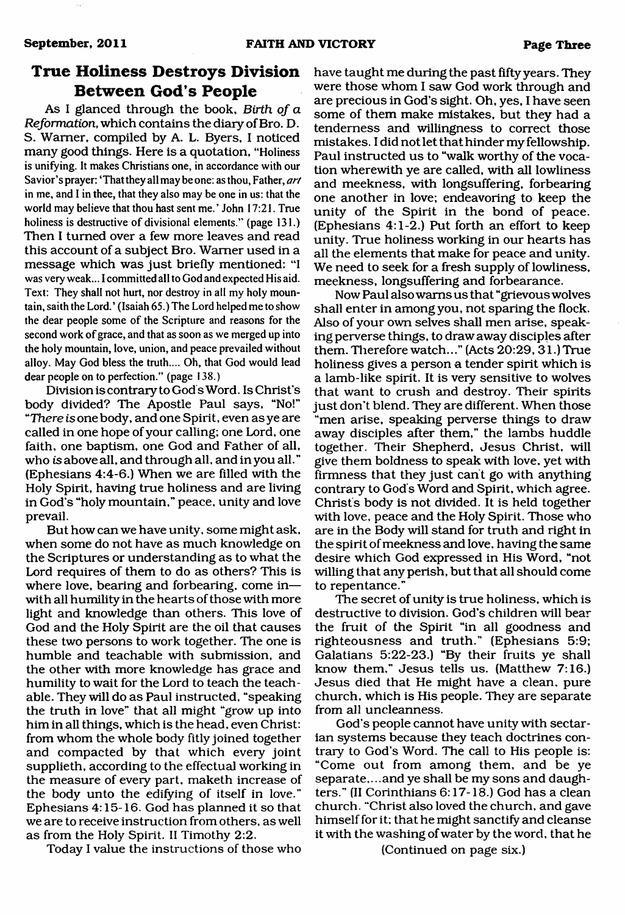# **True Holiness Destroys Division Between God's People**

As I glanced through the book. *Birth of a Reformation,* which contains the diary of Bro. D. S. Warner, compiled by A. L. Byers, I noticed many good things. Here is a quotation, " Holiness is unifying. It makes Christians one, in accordance with our Savior's prayer: 'That they all may be one: as thou, Father, *art* in me, and I in thee, that they also may be one in us: that the world may believe that thou hast sent me.' John 17:21. True holiness is destructive of divisional elements." (page 131.) Then I turned over a few more leaves and read this account of a subject Bro. Warner used in a message which was just briefly mentioned: "I was very weak... I committed all to God and expected His aid. Text: They shall not hurt, nor destroy in all my holy mountain, saith the Lord.' (Isaiah 65.) The Lord helped me to show the dear people some of the Scripture and reasons for the second work of grace, and that as soon as we merged up into the holy mountain, love, union, and peace prevailed without alloy. May God bless the truth.... Oh, that God would lead dear people on to perfection." (page 138.)

Division is contrary to God s Word. Is Christ's body divided? The Apostle Paul says, "No!" "There *is* one body, and one Spirit, even as ye are called in one hope of your calling; one Lord, one faith, one baptism, one God and Father of all, who *is* above all, and through all, and in you all." (Ephesians 4:4-6.) When we are filled with the Holy Spirit, having true holiness and are living in God's "holy mountain," peace, unity and love prevail.

But how can we have unity, some might ask, when some do not have as much knowledge on the Scriptures or understanding as to what the Lord requires of them to do as others? This is where love, bearing and forbearing, come in with all humility in the hearts of those with more light and knowledge than others. This love of God and the Holy Spirit are the oil that causes these two persons to work together. The one is humble and teachable with submission, and the other with more knowledge has grace and humility to wait for the Lord to teach the teachable. They will do as Paul instructed, "speaking the truth in love" that all might "grow up into him in all things, which is the head, even Christ: from whom the whole body fitly joined together and compacted by that which every joint supplieth, according to the effectual working in the measure of every part, maketh increase of the body unto the edifying of itself in love." Ephesians 4:15-16. God has planned it so that we are to receive instruction from others, as well as from the Holy Spirit. II Timothy 2:2.

Today I value the instructions of those who

have taught me during the past fifty years. They were those whom I saw God work through and are precious in God's sight. Oh, yes, I have seen some of them make mistakes, but they had a tenderness and willingness to correct those mistakes. I did not let that hinder my fellowship. Paul instructed us to "walk worthy of the vocation wherewith ye are called, with all lowliness and meekness, with longsuffering, forbearing one another in love; endeavoring to keep the unity of the Spirit in the bond of peace. (Ephesians 4:1-2.) Put forth an effort to keep unity. True holiness working in our hearts has all the elements that make for peace and unity. We need to seek for a fresh supply of lowliness, meekness, longsuffering and forbearance.

Now Paul also warns us that "grievous wolves shall enter in among you, not sparing the flock. Also of your own selves shall men arise, speaking perverse things, to draw away disciples after them. Therefore watch..." (Acts 20:29,31.) True holiness gives a person a tender spirit which is a lamb-like spirit. It is very sensitive to wolves that want to crush and destroy. Their spirits just don't blend. They are different. When those "men arise, speaking perverse things to draw away disciples after them," the lambs huddle together. Their Shepherd, Jesus Christ, will give them boldness to speak with love, yet with firmness that they just can't go with anything contrary to God's Word and Spirit, which agree. Christs body is not divided. It is held together with love, peace and the Holy Spirit. Those who are in the Body will stand for truth and right in the spirit of meekness and love, having the same desire which God expressed in His Word, "not willing that any perish, but that all should come to repentance."

The secret of unity is true holiness, which is destructive to division. God's children will bear the fruit of the Spirit "in all goodness and righteousness and truth." (Ephesians 5:9; Galatians 5:22-23.) "By their fruits ye shall know them," Jesus tells us. (Matthew 7:16.) Jesus died that He might have a clean, pure church, which is His people. They are separate from all uncleanness.

God's people cannot have unity with sectarian systems because they teach doctrines contrary to God's Word. The call to His people is: "Come out from among them, and be ye separate,...and ye shall be my sons and daughters." (II Corinthians 6:17-18.) God has a clean church. "Christ also loved the church, and gave himself for it; that he might sanctify and cleanse it with the washing of water by the word, that he

(Continued on page six.)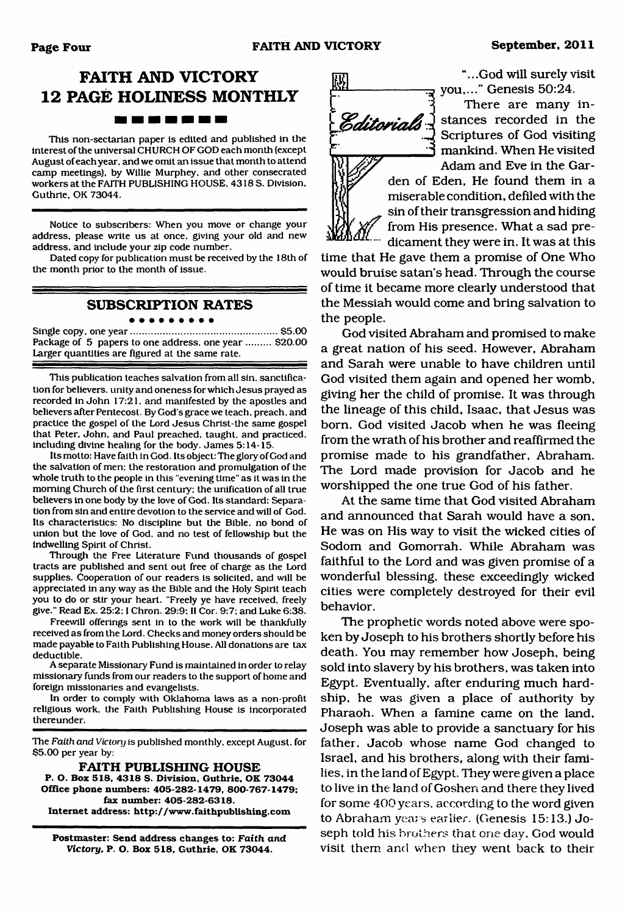# **FAITH AND VICTORY 12 PAGE HOLINESS MONTHLY . . . . . .**

This non-sectarian paper is edited and published in the interest of the universal CHURCH OF GOD each month (except August of each year, and we omit an issue that month to attend camp meetings), by Willie Murphey, and other consecrated workers at the FAITH PUBLISHING HOUSE. 4318 S. Division, Guthrie, OK 73044.

Notice to subscribers: When you move or change your address, please write us at once, giving your old and new address, and include your zip code number.

Dated copy for publication must be received by the 18th of the month prior to the month of issue.

# **SUBSCRIPTION RATES**

Single copy, one year......................................................\$5.00 Package of 5 papers to one address, one year ......... \$20.00 Larger quantities are figured at the same rate.

This publication teaches salvation from all sin. sanctification for believers, unity and oneness for which Jesus prayed as recorded in John 17:21, and manifested by the apostles and believers after Pentecost. By God's grace we teach, preach, and practice the gospel of the Lord Jesus Christ-the same gospel that Peter, John, and Paul preached, taught, and practiced, including divine healing for the body. James 5:14-15.

Its motto: Have faith in God. Its object: The glory of God and the salvation of men; the restoration and promulgation of the whole truth to the people in this "evening time" as it was in the morning Church of the first century; the unification of all true believers in one body by the love of God. Its standard: Separation from sin and entire devotion to the service and will of God. Its characteristics: No discipline but the Bible, no bond of union but the love of God, and no test of fellowship but the indwelling Spirit of Christ.

Through the Free Literature Fund thousands of gospel tracts are published and sent out free of charge as the Lord supplies. Cooperation of our readers is solicited, and will be appreciated in any way as the Bible and the Holy Spirit teach you to do or stir your heart. "Freely ye have received, freely give." Read Ex. 25:2:1 Chron. 29:9: II Cor. 9:7; and Luke 6:38.

Freewill offerings sent in to the work will be thankfully received as from the Lord. Checks and money orders should be made payable to Faith Publishing House. All donations are tax deductible.

A separate Missionary Fund is maintained in order to relay missionary funds from our readers to the support of home and foreign missionaries and evangelists.

In order to comply with Oklahoma laws as a non-profit religious work, the Faith Publishing House is incorporated thereunder.

The *Faith and Viclonj* is published monthly, except August, for \$5.00 per year by:

**FAITH PUBLISHING HOUSE P. O. Box 518, 4318 S. Division, Guthrie, OK 73044 Office phone numbers: 405-282-1479, 800-767-1479; fax number: 405-282-6318. Internet address: <http://www.faithpublishing.com>**

**Postmaster: Send address changes to: Faith and** *Victory,* **P. O. Box 518, Guthrie, OK 73044.**

"...God will surely visit you,..." Genesis 50:24.

There are many instances recorded in the Scriptures of God visiting mankind. When He visited Adam and Eve in the Gar-

den of Eden, He found them in a miserable condition, defiled with the sin of their transgression and hiding *'* from His presence. What a sad pre dicament they were in. It was at this

time that He gave them a promise of One Who would bruise satan's head. Through the course of time it became more clearly understood that the Messiah would come and bring salvation to the people.

God visited Abraham and promised to make a great nation of his seed. However, Abraham and Sarah were unable to have children until God visited them again and opened her womb, giving her the child of promise. It was through the lineage of this child, Isaac, that Jesus was born. God visited Jacob when he was fleeing from the wrath of his brother and reaffirmed the promise made to his grandfather, Abraham. The Lord made provision for Jacob and he worshipped the one true God of his father.

At the same time that God visited Abraham and announced that Sarah would have a son. He was on His way to visit the wicked cities of Sodom and Gomorrah. While Abraham was faithful to the Lord and was given promise of a wonderful blessing, these exceedingly wicked cities were completely destroyed for their evil behavior.

The prophetic words noted above were spoken by Joseph to his brothers shortly before his death. You may remember how Joseph, being sold into slavery by his brothers, was taken into Egypt. Eventually, after enduring much hardship, he was given a place of authority by Pharaoh. When a famine came on the land, Joseph was able to provide a sanctuary for his father, Jacob whose name God changed to Israel, and his brothers, along with their families, in the land of Egypt. They were given a place to live in the land of Goshen and there they lived for some 400 years, according to the word given to Abraham years earlier. (Genesis 15:13.) Joseph told his brothers that one day, God would visit them and when they went back to their

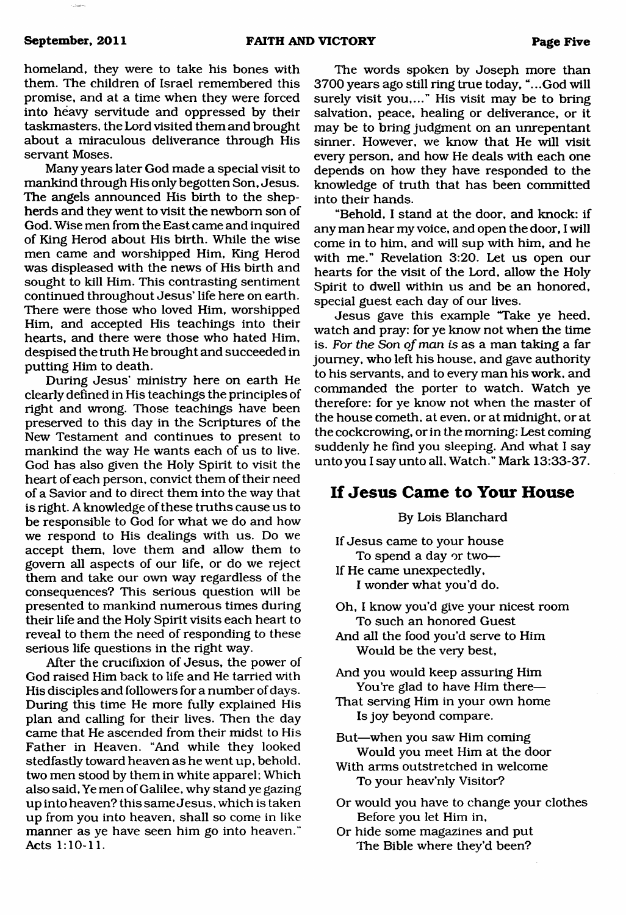homeland, they were to take his bones with them. The children of Israel remembered this promise, and at a time when they were forced into heavy servitude and oppressed by their taskmasters, the Lord visited them and brought about a miraculous deliverance through His servant Moses.

Many years later God made a special visit to mankind through His only begotten Son, Jesus. The angels announced His birth to the shepherds and they went to visit the newborn son of God. Wise men from the East came and inquired of King Herod about His birth. While the wise men came and worshipped Him, King Herod was displeased with the news of His birth and sought to kill Him. This contrasting sentiment continued throughout Jesus' life here on earth. There were those who loved Him, worshipped Him, and accepted His teachings into their hearts, and there were those who hated Him, despised the truth He brought and succeeded in putting Him to death.

During Jesus' ministry here on earth He clearly defined in His teachings the principles of right and wrong. Those teachings have been preserved to this day in the Scriptures of the New Testament and continues to present to mankind the way He wants each of us to live. God has also given the Holy Spirit to visit the heart of each person, convict them of their need of a Savior and to direct them into the way that is right. A knowledge of these truths cause us to be responsible to God for what we do and how we respond to His dealings with us. Do we accept them, love them and allow them to govern all aspects of our life, or do we reject them and take our own way regardless of the consequences? This serious question will be presented to mankind numerous times during their life and the Holy Spirit visits each heart to reveal to them the need of responding to these serious life questions in the right way.

After the crucifixion of Jesus, the power of God raised Him back to life and He tarried with His disciples and followers for a number of days. During this time He more fully explained His plan and calling for their lives. Then the day came that He ascended from their midst to His Father in Heaven. "And while they looked stedfastly toward heaven as he went up, behold, two men stood by them in white apparel; Which also said, Ye men of Galilee, why stand ye gazing up into heaven? this same Jesus, which is taken up from you into heaven, shall so come in like manner as ye have seen him go into heaven." Acts 1:10-11.

The words spoken by Joseph more than 3700 years ago still ring true today, "...God will surely visit you,..." His visit may be to bring salvation, peace, healing or deliverance, or it may be to bring judgment on an unrepentant sinner. However, we know that He will visit every person, and how He deals with each one depends on how they have responded to the knowledge of truth that has been committed into their hands.

"Behold, I stand at the door, and knock: if any man hear my voice, and open the door, I will come in to him, and will sup with him, and he with me." Revelation 3:20. Let us open our hearts for the visit of the Lord, allow the Holy Spirit to dwell within us and be an honored, special guest each day of our lives.

Jesus gave this example "Take ye heed, watch and pray: for ye know not when the time is. For the Son of man is as a man taking a far journey, who left his house, and gave authority to his servants, and to every man his work, and commanded the porter to watch. Watch ye therefore: for ye know not when the master of the house cometh, at even, or at midnight, or at the cockcrowing, or in the morning: Lest coming suddenly he find you sleeping. And what I say unto you I say unto all. Watch." Mark 13:33-37.

# **If Jesus Came to Your House**

By Lois Blanchard

- If Jesus came to your house To spend a day or two—
- If He came unexpectedly, I wonder what you'd do.
- Oh, I know you'd give your nicest room To such an honored Guest
- And all the food you'd serve to Him Would be the very best,
- And you would keep assuring Him You're glad to have Him there—
- That serving Him in your own home Is joy beyond compare.
- But—when you saw Him coming Would you meet Him at the door
- With arms outstretched in welcome To your heav'nly Visitor?
- Or would you have to change your clothes Before you let Him in.
- Or hide some magazines and put The Bible where they'd been?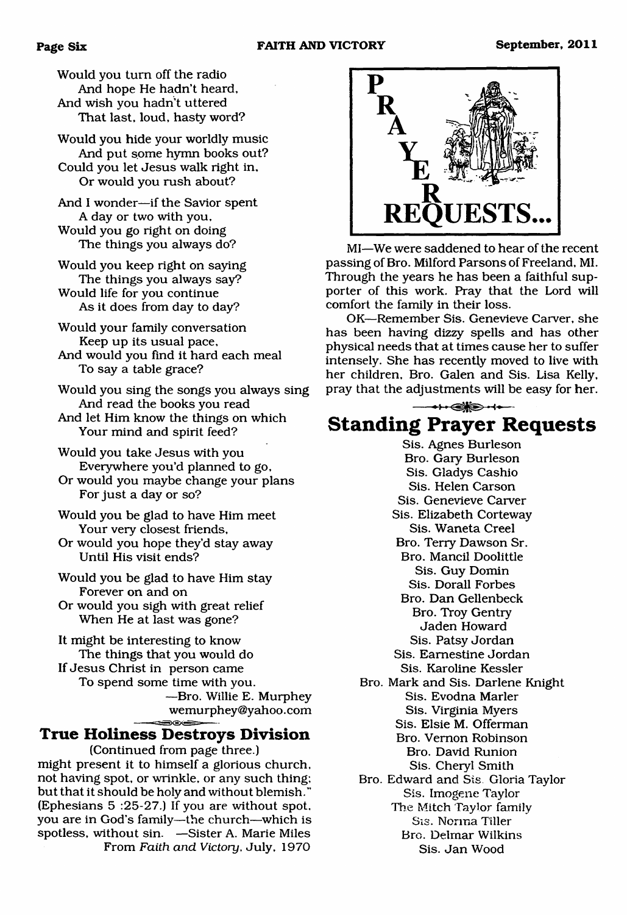Would you turn off the radio And hope He hadn't heard. And wish you hadn't uttered That last, loud, hasty word?

Would you hide your worldly music And put some hymn books out? Could you let Jesus walk right in. Or would you rush about?

And I wonder—if the Savior spent A day or two with you. Would you go right on doing The things you always do?

Would you keep right on saying The things you always say? Would life for you continue As it does from day to day?

Would your family conversation Keep up its usual pace.

And would you find it hard each meal To say a table grace?

Would you sing the songs you always sing And read the books you read

And let Him know the things on which Your mind and spirit feed?

Would you take Jesus with you Everywhere you'd planned to go.

Or would you maybe change your plans For just a day or so?

Would you be glad to have Him meet Your very closest friends.

Or would you hope they'd stay away Until His visit ends?

Would you be glad to have Him stay Forever on and on

Or would you sigh with great relief When He at last was gone?

It might be interesting to know The things that you would do

If Jesus Christ in person came To spend some time with you.

> —Bro. Willie E. Murphey [wemurphey@yahoo.com](mailto:wemurphey@yahoo.com)

### ⋑⋒⋐ **True Holiness Destroys Division**

(Continued from page three.) might present it to himself a glorious church, not having spot, or wrinkle, or any such thing; but that it should be holy and without blemish.' (Ephesians 5 :25-27.) If you are without spot, you are in God's family—the church—which is spotless, without sin. —Sister A. Marie Miles From *Faith and Victory,* July, 1970



MI—We were saddened to hear of the recent passing of Bro. Milford Parsons of Freeland, MI. Through the years he has been a faithful supporter of this work. Pray that the Lord will comfort the family in their loss.

OK—Remember Sis. Genevieve Carver, she has been having dizzy spells and has other physical needs that at times cause her to suffer intensely. She has recently moved to live with her children, Bro. Galen and Sis. Lisa Kelly, pray that the adjustments will be easy for her.

 $- + -$ 

**Standing Prayer Requests** Sis. Agnes Burleson Bro. Gary Burleson Sis. Gladys Cashio Sis. Helen Carson Sis. Genevieve Carver Sis. Elizabeth Corteway Sis. Waneta Creel Bro. Terry Dawson Sr. Bro. Mancil Doolittle Sis. Guy Domin Sis. Dorall Forbes Bro. Dan Gellenbeck Bro. Troy Gentry Jaden Howard Sis. Patsy Jordan Sis. Eamestine Jordan Sis. Karoline Kessler Bro. Mark and Sis. Darlene Knight Sis. Evodna Marler Sis. Virginia Myers Sis. Elsie M. Offerman Bro. Vernon Robinson Bro. David Runion Sis. Cheryl Smith Bro. Edward and Sis. Gloria Taylor Sis. Imogene Taylor The Mitch Taylor family Sis. Norma Tiller Bro. Delrnar Wilkins Sis. Jan Wood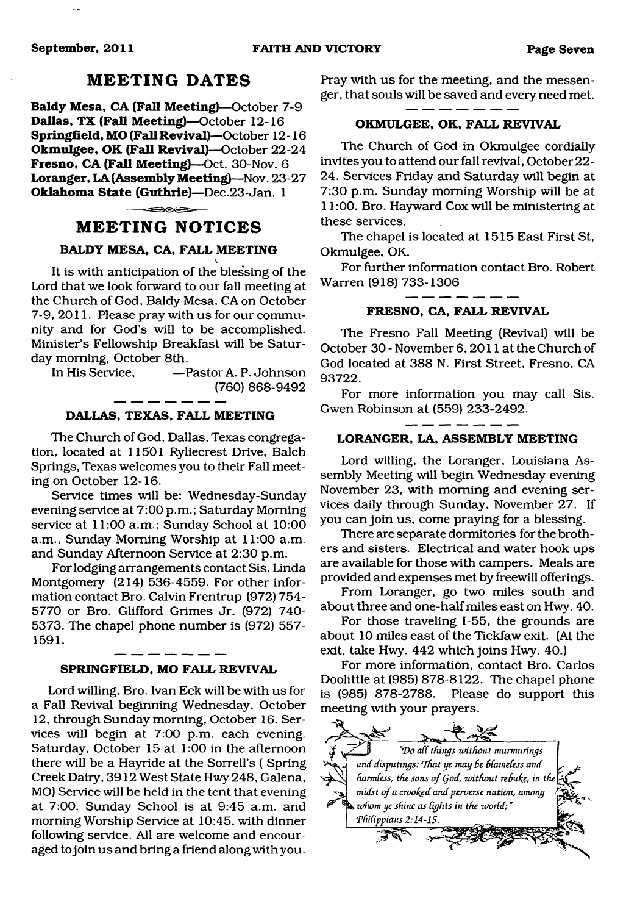# **M EETING DATES**

**Baldy Mesa, CA (Fall Meeting)**—October 7-9 **Dallas, TX (Fall Meeting)**—October 12-16 **Springfield, MO (Fall Revival)**—October 12-16 **Okmulgee, OK (Fall Revival)**—October 22-24 **Fresno, CA (Fall Meeting)**—Oct. 30-Nov. 6 **Loranger, LA (Assembly Meeting)**—Nov. 23-27 **Oklahoma State (Guthrie)**—Dec.23-Jan. 1

# $\blacksquare$ **M EETING NOTICES**

## **BALDY MESA, CA, FALL MEETING**

It is with anticipation of the blessing of the Lord that we look forward to our fall meeting at the Church of God, Baldy Mesa, CA on October 7-9, 2011. Please pray with us for our community and for God's will to be accomplished. Minister's Fellowship Breakfast will be Saturday morning, October 8th.

In His Service, —Pastor A. P. Johnson

(760) 868-9492  $-$ 

V

#### **DALLAS, TEXAS, FALL MEETING**

The Church of God, Dallas, Texas congregation, located at 11501 Ryliecrest Drive, Balch Springs, Texas welcomes you to their Fall meeting on October 12-16.

Service times will be: Wednesday-Sunday evening service at 7:00 p.m.; Saturday Morning service at 11:00 a.m.; Sunday School at 10:00 a.m., Sunday Morning Worship at 11:00 a.m. and Sunday Afternoon Service at 2:30 p.m.

For lodging arrangements contact Sis. Linda Montgomery (214) 536-4559. For other information contact Bro. Calvin Frentrup (972) 754- 5770 or Bro. Glifford Grimes Jr. (972) 740- 5373. The chapel phone number is (972) 557- 1591.

#### **SPRINGFIELD, MO FALL REVIVAL**

Lord willing, Bro. Ivan Eck will be with us for a Fall Revival beginning Wednesday, October 12, through Sunday morning, October 16. Services will begin at 7:00 p.m. each evening. Saturday, October 15 at 1:00 in the afternoon there will be a Hayride at the Sorrell's ( Spring Creek Dairy, 3912 West State Hwy 248, Galena, MO) Service will be held in the tent that evening at 7:00. Sunday School is at 9:45 a.m. and morning Worship Service at 10:45, with dinner following service. All are welcome and encouraged to join us and bring a friend along with you.

Pray with us for the meeting, and the messenger, that souls will be saved and every need met.

#### **OKMULGEE, OK, FALL REVIVAL**

The Church of God in Okmulgee cordially invites you to attend our fall revival, October 22- 24. Services Friday and Saturday will begin at 7:30 p.m. Sunday morning Worship will be at 11:00. Bro. Hayward Cox will be ministering at these services.

The chapel is located at 1515 East First St, Okmulgee, OK.

For further information contact Bro. Robert Warren (918) 733-1306

#### **FRESNO, CA, FALL REVIVAL**

The Fresno Fall Meeting (Revival) will be October 30 - November 6,2011 at the Church of God located at 388 N. First Street, Fresno, CA 93722.

For more information you may call Sis. Gwen Robinson at (559) 233-2492.

#### **LORANGER, LA, ASSEMBLY MEETING**

. \_\_ \_\_ \_\_ \_\_ \_

Lord willing, the Loranger, Louisiana Assembly Meeting will begin Wednesday evening November 23, with morning and evening services daily through Sunday, November 27. If you can join us, come praying for a blessing.

There are separate dormitories for the brothers and sisters. Electrical and water hook ups are available for those with campers. Meals are provided and expenses met by freewill offerings.

From Loranger, go two miles south and about three and one-half miles east on Hwy. 40.

For those traveling 1-55, the grounds are about 10 miles east of the Tickfaw exit. (At the exit, take Hwy. 442 which joins Hwy. 40.)

For more information, contact Bro. Carlos Doolittle at (985) 878-8122. The chapel phone is (985) 878-2788. Please do support this meeting with your prayers.

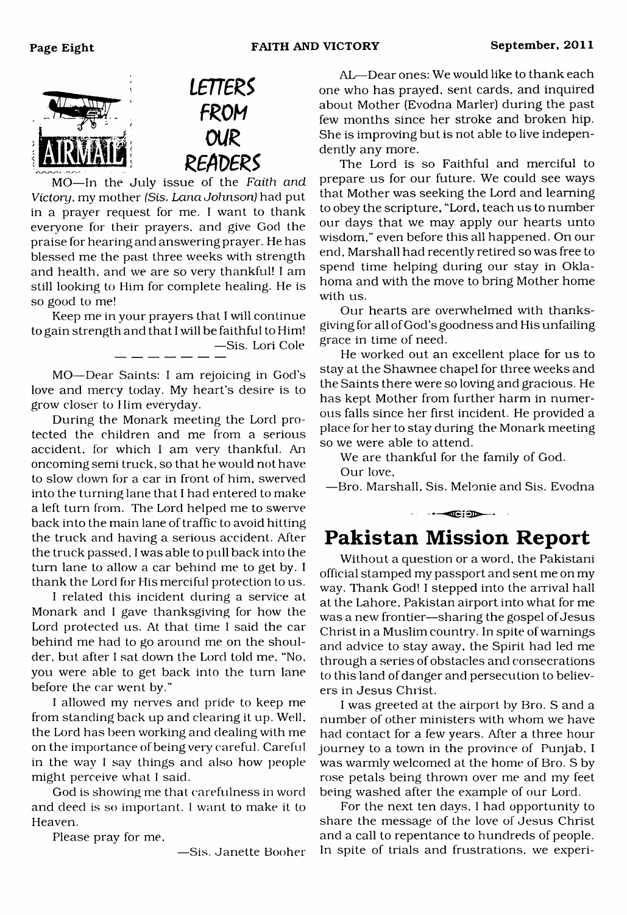



MO—In the July issue of the *Faith and. Victory,* my mother *(Sis. Lana Johnson)* had put in a prayer request for me. I want to thank everyone for their prayers, and give God the praise for hearing and answering prayer. He has blessed me the past three weeks with strength and health, and we are so very thankful! I am still looking to Him for complete healing. He is so good to me!

Keep me in your prayers that I will continue to gain strength and that I will be faithful to Him!

—Sis. Lori Cole

MO—Dear Saints: I am rejoicing in God's love and mercy today. My heart's desire is to grow closer to Him everyday.

During the Monark meeting the Lord protected the children and me from a serious accident, for which I am very thankful. An oncoming semi truck, so that he would not have to slow down for a car in front of him, swerved into the turning lane that I had entered to make a left turn from. The Lord helped me to swerve back into the main lane of traffic to avoid hitting the truck and having a serious accident. After the truck passed, I was able to pull back into the turn lane to allow a car behind me to get by. I thank the Lord for His merciful protection to us.

I related this incident during a service at Monark and I gave thanksgiving for how the Lord protected us. At that time I said the car behind me had to go around me on the shoulder, but after I sat down the Lord told me, "No, you were able to get back into the turn lane before the car went by.''

I allowed my nerves and pride to keep me from standing back up and clearing it up. Well, the Lord has been working and dealing with me on the importance of being very careful. Careful in the way I sav things and also how people might perceive what I said.

God is showing me that carefulness in word and deed is so important. 1 want to make it to Heaven.

Please pray for me.

—Sis. Janette Booher

AL—Dear ones: We would like to thank each one who has prayed, sent cards, and inquired about Mother (Evodna Marler) during the past few months since her stroke and broken hip. She is improving but is not able to live independently any more.

The Lord is so Faithful and merciful to prepare us for our future. We could see ways that Mother was seeking the Lord and learning to obey the scripture, "Lord, teach us to number our days that we may apply our hearts unto wisdom," even before this all happened. On our end, Marshall had recently retired so was free to spend time helping during our stay in Oklahoma and with the move to bring Mother home with us.

Our hearts are overwhelmed with thanksgiving for all of God's goodness and His unfailing grace in time of need.

He worked out an excellent place for us to stay at the Shawnee chapel for three weeks and the Saints there were so loving and gracious. He has kept Mother from further harm in numerous falls since her first incident. He provided a place for her to stay during the Monark meeting so we were able to attend.

We are thankful for the family of God. Our love,

—Bro. Marshall, Sis. Melonie and Sis. Evodna

 $\overline{\phantom{a}}$ 

# <span id="page-7-0"></span>**Pakistan Mission Report**

Without a question or a word, the Pakistani official stamped my passport and sent me on my way. Thank God! I stepped into the arrival hall at the Lahore, Pakistan airport into what for me was a new frontier—sharing the gospel of Jesus Christ in a Muslim country. In spite of warnings and advice to stay away, the Spirit had led me through a series of obstacles and consecrations to this land of danger and persecution to believers in Jesus Chiist.

I was greeted at the airport by Bro. S and a number of other ministers with whom we have had contact for a few years. After a three hour journey to a town in the province of Punjab, I was warmly welcomed at the home of Bro. S by rose petals being thrown over me and my feet being washed after the example of our Lord.

For the next ten days, I had opportunity to share the message of the love of Jesus Christ and a call to repentance to hundreds of people. In spite of trials and frustrations, we experi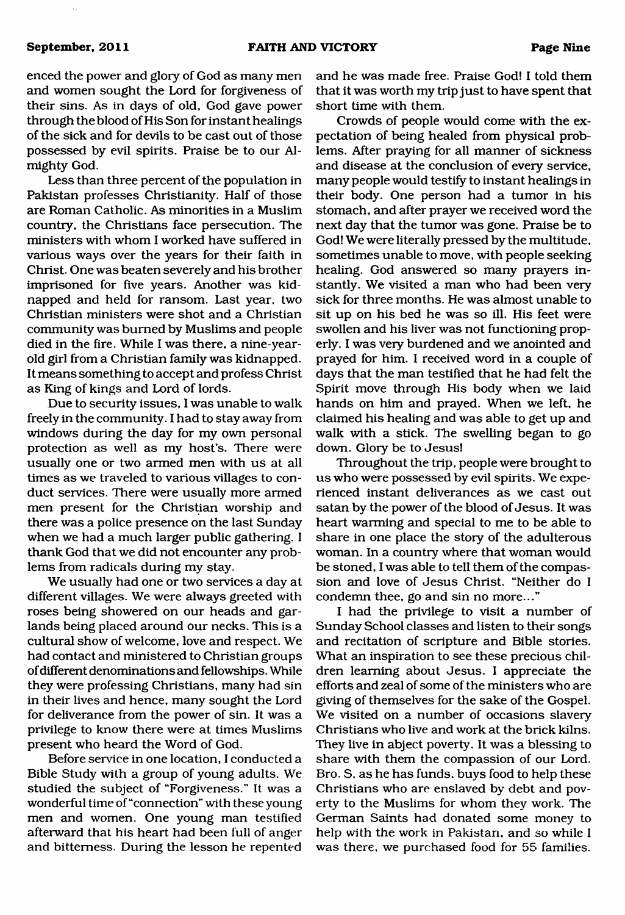enced the power and glory of God as many men and women sought the Lord for forgiveness of their sins. As in days of old, God gave power through the blood of His Son for instant healings of the sick and for devils to be cast out of those possessed by evil spirits. Praise be to our Almighty God.

Less than three percent of the population in Pakistan professes Christianity. Half of those are Roman Catholic. As minorities in a Muslim country, the Christians face persecution. The ministers with whom I worked have suffered in various ways over the years for their faith in Christ. One was beaten severely and his brother imprisoned for five years. Another was kidnapped and held for ransom. Last year, two Christian ministers were shot and a Christian community was burned by Muslims and people died in the fire. While I was there, a nine-yearold girl from a Christian family was kidnapped. It means something to accept and profess Christ as King of kings and Lord of lords.

Due to security issues, I was unable to walk freely in the community. I had to stay away from windows during the day for my own personal protection as well as my host's. There were usually one or two armed men with us at all times as we traveled to various villages to conduct services. There were usually more armed men present for the Christian worship and there was a police presence on the last Sunday when we had a much larger public gathering. I thank God that we did not encounter any problems from radicals during my stay.

We usually had one or two services a day at different villages. We were always greeted with roses being showered on our heads and garlands being placed around our necks. This is a cultural show of welcome, love and respect. We had contact and ministered to Christian groups of different denominations and fellowships. While they were professing Christians, many had sin in their lives and hence, many sought the Lord for deliverance from the power of sin. It was a privilege to know there were at times Muslims present who heard the Word of God.

Before service in one location, I conducted a Bible Study with a group of young adults. We studied the subject of "Forgiveness." It was a wonderful time of "connection" with these young men and women. One young man testified afterward that his heart had been full of anger and bitterness. During the lesson he repented

and he was made free. Praise God! I told them that it was worth my trip just to have spent that short time with them.

Crowds of people would come with the expectation of being healed from physical problems. After praying for all manner of sickness and disease at the conclusion of every service, many people would testify to instant healings in their body. One person had a tumor in his stomach, and after prayer we received word the next day that the tumor was gone. Praise be to God! We were literally pressed by the multitude, sometimes unable to move, with people seeking healing. God answered so many prayers instantly. We visited a man who had been very sick for three months. He was almost unable to sit up on his bed he was so ill. His feet were swollen and his liver was not functioning properly. I was very burdened and we anointed and prayed for him. I received word in a couple of days that the man testified that he had felt the Spirit move through His body when we laid hands on him and prayed. When we left, he claimed his healing and was able to get up and walk with a stick. The swelling began to go down. Glory be to Jesus!

Throughout the trip, people were brought to us who were possessed by evil spirits. We experienced instant deliverances as we cast out satan by the power of the blood of Jesus. It was heart warming and special to me to be able to share in one place the story of the adulterous woman. In a country where that woman would be stoned, I was able to tell them of the compassion and love of Jesus Christ. "Neither do I condemn thee, go and sin no more..."

I had the privilege to visit a number of Sunday School classes and listen to their songs and recitation of scripture and Bible stories. What an inspiration to see these precious children learning about Jesus. I appreciate the efforts and zeal of some of the ministers who are giving of themselves for the sake of the Gospel. We visited on a number of occasions slavery Christians who live and work at the brick kilns. They live in abject poverty. It was a blessing to share with them the compassion of our Lord. Bro. S, as he has funds, buys food to help these Christians who are enslaved by debt and poverty to the Muslims for whom they work. The German Saints had donated some money to help with the work in Pakistan, and so while I was there, we purchased food for 55 families.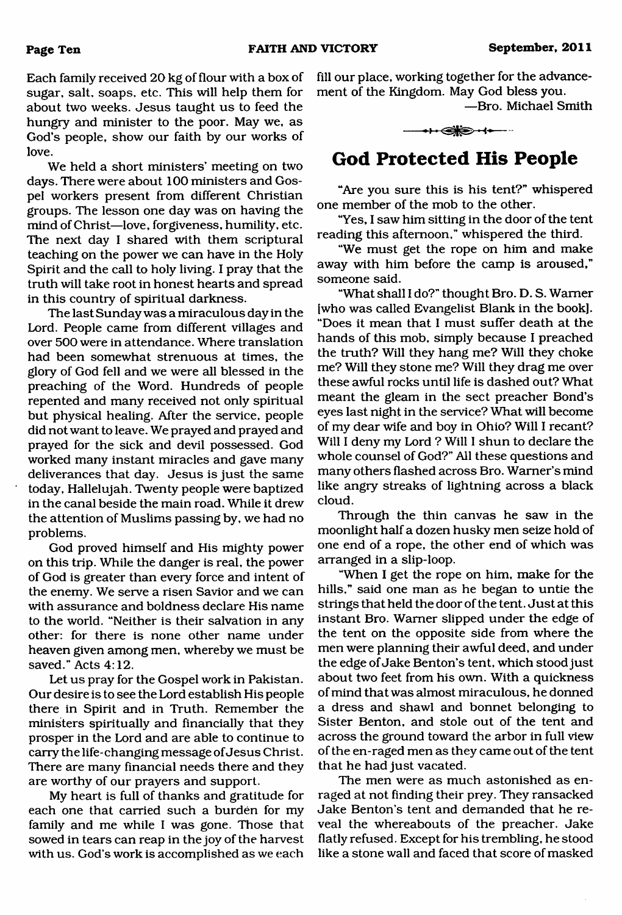Each family received 20 kg of flour with a box of sugar, salt, soaps, etc. This will help them for about two weeks. Jesus taught us to feed the hungry and minister to the poor. May we, as God's people, show our faith by our works of love.

We held a short ministers' meeting on two days. There were about 100 ministers and Gospel workers present from different Christian groups. The lesson one day was on having the mind of Christ—love, forgiveness, humility, etc. The next day I shared with them scriptural teaching on the power we can have in the Holy Spirit and the call to holy living. I pray that the truth will take root in honest hearts and spread in this country of spiritual darkness.

The last Sunday was a miraculous day in the Lord. People came from different villages and over 500 were in attendance. Where translation had been somewhat strenuous at times, the glory of God fell and we were all blessed in the preaching of the Word. Hundreds of people repented and many received not only spiritual but physical healing. After the service, people did not want to leave. We prayed and prayed and prayed for the sick and devil possessed. God worked many instant miracles and gave many deliverances that day. Jesus is just the same today, Hallelujah. Twenty people were baptized in the canal beside the main road. While it drew the attention of Muslims passing by, we had no problems.

God proved himself and His mighty power on this trip. While the danger is real, the power of God is greater than every force and intent of the enemy. We serve a risen Savior and we can with assurance and boldness declare His name to the world. "Neither is their salvation in any other: for there is none other name under heaven given among men, whereby we must be saved." Acts 4:12.

Let us pray for the Gospel work in Pakistan. Our desire is to see the Lord establish His people there in Spirit and in Truth. Remember the ministers spiritually and financially that they prosper in the Lord and are able to continue to carry the life-changing message of Jesus Christ. There are many financial needs there and they are worthy of our prayers and support.

My heart is full of thanks and gratitude for each one that carried such a burden for my family and me while I was gone. Those that sowed in tears can reap in the joy of the harvest with us. God's work is accomplished as we each fill our place, working together for the advancement of the Kingdom. May God bless you.

—Bro. Michael Smith

 $+$ 

# <span id="page-9-0"></span>**God Protected His People**

"Are you sure this is his tent?" whispered one member of the mob to the other.

"Yes, I saw him sitting in the door of the tent reading this afternoon," whispered the third.

"We must get the rope on him and make away with him before the camp is aroused," someone said.

"What shall I do?" thought Bro. D. S. Warner [who was called Evangelist Blank in the book]. "Does it mean that I must suffer death at the hands of this mob, simply because I preached the truth? Will they hang me? Will they choke me? Will they stone me? Will they drag me over these awful rocks until life is dashed out? What meant the gleam in the sect preacher Bond's eyes last night in the service? What will become of my dear wife and boy in Ohio? Will I recant? Will I deny my Lord ? Will I shun to declare the whole counsel of God?" All these questions and many others flashed across Bro. Warner's mind like angry streaks of lightning across a black cloud.

Through the thin canvas he saw in the moonlight half a dozen husky men seize hold of one end of a rope, the other end of which was arranged in a slip-loop.

"When I get the rope on him, make for the hills," said one man as he began to untie the strings that held the door of the tent. Just at this instant Bro. Warner slipped under the edge of the tent on the opposite side from where the men were planning their awful deed, and under the edge of Jake Benton's tent, which stood just about two feet from his own. With a quickness of mind that was almost miraculous, he donned a dress and shawl and bonnet belonging to Sister Benton, and stole out of the tent and across the ground toward the arbor in full view of the en-raged men as they came out of the tent that he had just vacated.

The men were as much astonished as enraged at not finding their prey. They ransacked Jake Benton's tent and demanded that he reveal the whereabouts of the preacher. Jake flatly refused. Except for his trembling, he stood like a stone wall and faced that score of masked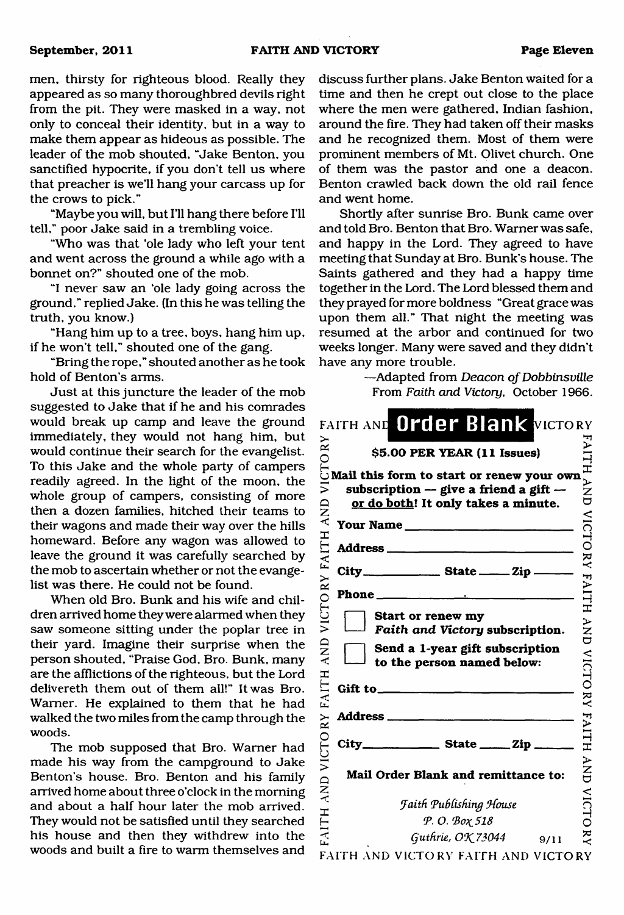#### **September, 2011 FAITH AND VICTORY Page Eleven**

men, thirsty for righteous blood. Really they appeared as so many thoroughbred devils right from the pit. They were masked in a way, not only to conceal their identity, but in a way to make them appear as hideous as possible. The leader of the mob shouted, "Jake Benton, you sanctified hypocrite, if you don't tell us where that preacher is we'll hang your carcass up for the crows to pick."

"Maybe you will, but I'll hang there before I'll tell," poor Jake said in a trembling voice.

"Who was that 'ole lady who left your tent and went across the ground a while ago with a bonnet on?" shouted one of the mob.

"I never saw an 'ole lady going across the ground." replied Jake. (In this he was telling the truth, you know.)

"Hang him up to a tree, boys, hang him up, if he won't tell," shouted one of the gang.

"Bring the rope," shouted another as he took hold of Benton's arms.

Just at this juncture the leader of the mob suggested to Jake that if he and his comrades would break up camp and leave the ground immediately, they would not hang him, but would continue their search for the evangelist. To this Jake and the whole party of campers readily agreed. In the light of the moon, the whole group of campers, consisting of more then a dozen families, hitched their teams to their wagons and made their way over the hills homeward. Before any wagon was allowed to leave the ground it was carefully searched by the mob to ascertain whether or not the evangelist was there. He could not be found.

When old Bro. Bunk and his wife and children arrived home they were alarmed when they saw someone sitting under the poplar tree in their yard. Imagine their surprise when the person shouted, "Praise God, Bro. Bunk, many are the afflictions of the righteous, but the Lord delivereth them out of them all!" It was Bro. Warner. He explained to them that he had walked the two miles from the camp through the woods.

The mob supposed that Bro. Warner had made his way from the campground to Jake Benton's house. Bro. Benton and his family arrived home about three o'clock in the morning and about a half hour later the mob arrived. They would not be satisfied until they searched his house and then they withdrew into the woods and built a fire to warm themselves and discuss further plans. Jake Benton waited for a time and then he crept out close to the place where the men were gathered, Indian fashion, around the fire. They had taken off their masks and he recognized them. Most of them were prominent members of Mt. Olivet church. One of them was the pastor and one a deacon. Benton crawled back down the old rail fence and went home.

Shortly after sunrise Bro. Bunk came over and told Bro. Benton that Bro. Warner was safe, and happy in the Lord. They agreed to have meeting that Sunday at Bro. Bunk's house. The Saints gathered and they had a happy time together in the Lord. The Lord blessed them and they prayed for more boldness "Great grace was upon them all." That night the meeting was resumed at the arbor and continued for two weeks longer. Many were saved and they didn't have any more trouble.

> —Adapted from *Deacon of Dobbinsville* From *Faith and Victory,* October 1966.

|                         | FAITH AND Order Blank VICTORY                                                                                                 |                  |
|-------------------------|-------------------------------------------------------------------------------------------------------------------------------|------------------|
|                         | \$5.00 PER YEAR (11 Issues)                                                                                                   |                  |
| VICTORY                 | Mail this form to start or renew your own<br>subscription $-$ give a friend a gift $-$<br>or do both! It only takes a minute. | <b>AITH AND</b>  |
| VICTORY FAITH AND       | Your Name                                                                                                                     | VICTORY FAITH    |
|                         | $City$ <sub>_______________</sub> State _____ Zip _____                                                                       |                  |
|                         | Phone                                                                                                                         |                  |
|                         | Start or renew my<br>Faith and Victory subscription.                                                                          |                  |
| AND                     | Send a 1-year gift subscription<br>to the person named below:                                                                 | AND VICTORY      |
|                         |                                                                                                                               |                  |
|                         |                                                                                                                               |                  |
| FAITH AND VICTORY FAITH | $City$ <sub>____________</sub> State _____ Zip ____                                                                           | FAITH            |
|                         | Mail Order Blank and remittance to:                                                                                           | $\sum_{i=1}^{n}$ |
|                         | <b>Jaith Publishing House</b>                                                                                                 | VICTO            |
|                         | Р. О. Вох 518                                                                                                                 |                  |
|                         | Guthrie, OK 73044<br>9/11                                                                                                     | $\breve{\Xi}$    |